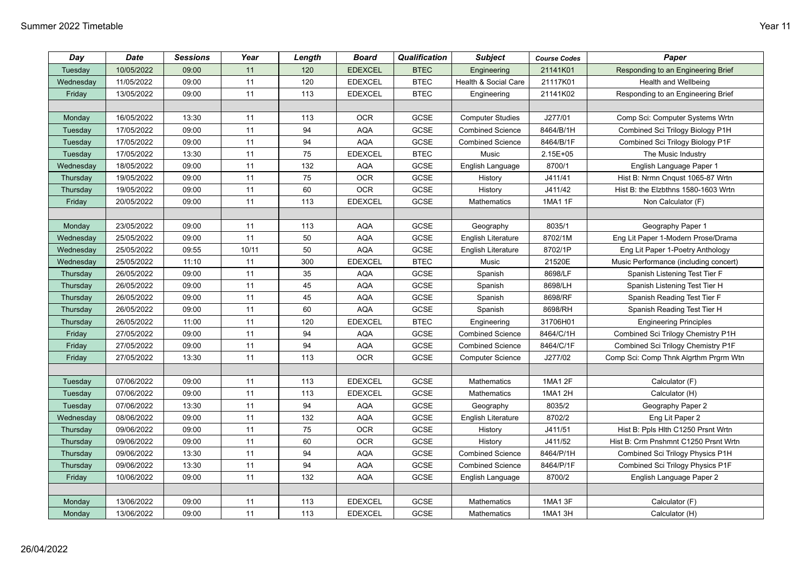| Day       | <b>Date</b> | <b>Sessions</b> | Year  | Length | <b>Board</b>   | Qualification | <b>Subject</b>            | <b>Course Codes</b> | Paper                                 |
|-----------|-------------|-----------------|-------|--------|----------------|---------------|---------------------------|---------------------|---------------------------------------|
| Tuesday   | 10/05/2022  | 09:00           | 11    | 120    | <b>EDEXCEL</b> | <b>BTEC</b>   | Engineering               | 21141K01            | Responding to an Engineering Brief    |
| Wednesday | 11/05/2022  | 09:00           | 11    | 120    | <b>EDEXCEL</b> | <b>BTEC</b>   | Health & Social Care      | 21117K01            | Health and Wellbeing                  |
| Friday    | 13/05/2022  | 09:00           | 11    | 113    | <b>EDEXCEL</b> | <b>BTEC</b>   | Engineering               | 21141K02            | Responding to an Engineering Brief    |
|           |             |                 |       |        |                |               |                           |                     |                                       |
| Monday    | 16/05/2022  | 13:30           | 11    | 113    | <b>OCR</b>     | GCSE          | <b>Computer Studies</b>   | J277/01             | Comp Sci: Computer Systems Wrtn       |
| Tuesday   | 17/05/2022  | 09:00           | 11    | 94     | <b>AQA</b>     | GCSE          | <b>Combined Science</b>   | 8464/B/1H           | Combined Sci Trilogy Biology P1H      |
| Tuesday   | 17/05/2022  | 09:00           | 11    | 94     | <b>AQA</b>     | GCSE          | <b>Combined Science</b>   | 8464/B/1F           | Combined Sci Trilogy Biology P1F      |
| Tuesday   | 17/05/2022  | 13:30           | 11    | 75     | <b>EDEXCEL</b> | <b>BTEC</b>   | Music                     | $2.15E + 05$        | The Music Industry                    |
| Wednesday | 18/05/2022  | 09:00           | 11    | 132    | <b>AQA</b>     | GCSE          | English Language          | 8700/1              | English Language Paper 1              |
| Thursday  | 19/05/2022  | 09:00           | 11    | 75     | <b>OCR</b>     | GCSE          | History                   | J411/41             | Hist B: Nrmn Cnqust 1065-87 Wrtn      |
| Thursday  | 19/05/2022  | 09:00           | 11    | 60     | <b>OCR</b>     | GCSE          | History                   | J411/42             | Hist B: the Elzbthns 1580-1603 Wrtn   |
| Friday    | 20/05/2022  | 09:00           | 11    | 113    | <b>EDEXCEL</b> | GCSE          | Mathematics               | 1MA1 1F             | Non Calculator (F)                    |
|           |             |                 |       |        |                |               |                           |                     |                                       |
| Monday    | 23/05/2022  | 09:00           | 11    | 113    | <b>AQA</b>     | GCSE          | Geography                 | 8035/1              | Geography Paper 1                     |
| Wednesday | 25/05/2022  | 09:00           | 11    | 50     | <b>AQA</b>     | GCSE          | <b>English Literature</b> | 8702/1M             | Eng Lit Paper 1-Modern Prose/Drama    |
| Wednesday | 25/05/2022  | 09:55           | 10/11 | 50     | <b>AQA</b>     | GCSE          | English Literature        | 8702/1P             | Eng Lit Paper 1-Poetry Anthology      |
| Wednesday | 25/05/2022  | 11:10           | 11    | 300    | <b>EDEXCEL</b> | <b>BTEC</b>   | Music                     | 21520E              | Music Performance (including concert) |
| Thursday  | 26/05/2022  | 09:00           | 11    | 35     | AQA            | GCSE          | Spanish                   | 8698/LF             | Spanish Listening Test Tier F         |
| Thursday  | 26/05/2022  | 09:00           | 11    | 45     | <b>AQA</b>     | GCSE          | Spanish                   | 8698/LH             | Spanish Listening Test Tier H         |
| Thursday  | 26/05/2022  | 09:00           | 11    | 45     | <b>AQA</b>     | GCSE          | Spanish                   | 8698/RF             | Spanish Reading Test Tier F           |
| Thursday  | 26/05/2022  | 09:00           | 11    | 60     | <b>AQA</b>     | GCSE          | Spanish                   | 8698/RH             | Spanish Reading Test Tier H           |
| Thursday  | 26/05/2022  | 11:00           | 11    | 120    | <b>EDEXCEL</b> | <b>BTEC</b>   | Engineering               | 31706H01            | <b>Engineering Principles</b>         |
| Friday    | 27/05/2022  | 09:00           | 11    | 94     | <b>AQA</b>     | GCSE          | <b>Combined Science</b>   | 8464/C/1H           | Combined Sci Trilogy Chemistry P1H    |
| Friday    | 27/05/2022  | 09:00           | 11    | 94     | <b>AQA</b>     | GCSE          | <b>Combined Science</b>   | 8464/C/1F           | Combined Sci Trilogy Chemistry P1F    |
| Friday    | 27/05/2022  | 13:30           | 11    | 113    | <b>OCR</b>     | <b>GCSE</b>   | <b>Computer Science</b>   | J277/02             | Comp Sci: Comp Thnk Algrthm Prgrm Wtn |
|           |             |                 |       |        |                |               |                           |                     |                                       |
| Tuesday   | 07/06/2022  | 09:00           | 11    | 113    | <b>EDEXCEL</b> | GCSE          | Mathematics               | 1MA1 2F             | Calculator (F)                        |
| Tuesday   | 07/06/2022  | 09:00           | 11    | 113    | <b>EDEXCEL</b> | GCSE          | Mathematics               | 1MA1 2H             | Calculator (H)                        |
| Tuesday   | 07/06/2022  | 13:30           | 11    | 94     | <b>AQA</b>     | GCSE          | Geography                 | 8035/2              | Geography Paper 2                     |
| Wednesday | 08/06/2022  | 09:00           | 11    | 132    | <b>AQA</b>     | GCSE          | <b>English Literature</b> | 8702/2              | Eng Lit Paper 2                       |
| Thursday  | 09/06/2022  | 09:00           | 11    | 75     | <b>OCR</b>     | GCSE          | History                   | J411/51             | Hist B: Ppls Hlth C1250 Prsnt Wrtn    |
| Thursday  | 09/06/2022  | 09:00           | 11    | 60     | <b>OCR</b>     | GCSE          | History                   | J411/52             | Hist B: Crm Pnshmnt C1250 Prsnt Wrtn  |
| Thursday  | 09/06/2022  | 13:30           | 11    | 94     | <b>AQA</b>     | GCSE          | <b>Combined Science</b>   | 8464/P/1H           | Combined Sci Trilogy Physics P1H      |
| Thursday  | 09/06/2022  | 13:30           | $11$  | 94     | <b>AQA</b>     | GCSE          | <b>Combined Science</b>   | 8464/P/1F           | Combined Sci Trilogy Physics P1F      |
| Friday    | 10/06/2022  | 09:00           | 11    | 132    | <b>AQA</b>     | <b>GCSE</b>   | English Language          | 8700/2              | English Language Paper 2              |
|           |             |                 |       |        |                |               |                           |                     |                                       |
| Monday    | 13/06/2022  | 09:00           | 11    | 113    | <b>EDEXCEL</b> | GCSE          | Mathematics               | 1MA1 3F             | Calculator (F)                        |
| Monday    | 13/06/2022  | 09:00           | 11    | 113    | <b>EDEXCEL</b> | GCSE          | Mathematics               | 1MA1 3H             | Calculator (H)                        |